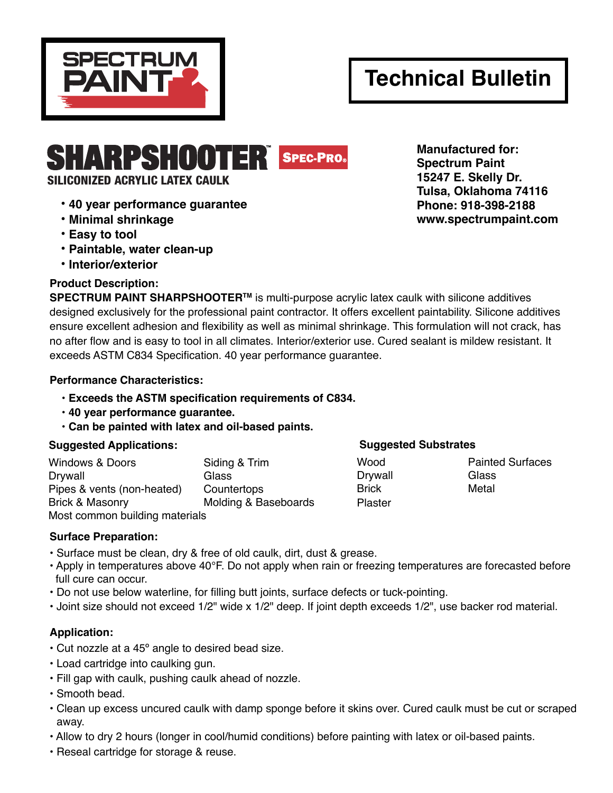

# **Technical Bulletin**

SILICONIZED ACRYLIC LATEX CAULK

- **40 year performance guarantee**
- **Minimal shrinkage**
- **Easy to tool**
- **Paintable, water clean-up**
- **Interior/exterior**

# **Product Description:**

**SPECTRUM PAINT SHARPSHOOTER™** is multi-purpose acrylic latex caulk with silicone additives designed exclusively for the professional paint contractor. It offers excellent paintability. Silicone additives ensure excellent adhesion and flexibility as well as minimal shrinkage. This formulation will not crack, has no after flow and is easy to tool in all climates. Interior/exterior use. Cured sealant is mildew resistant. It exceeds ASTM C834 Specification. 40 year performance guarantee.

### **Performance Characteristics:**

- **Exceeds the ASTM specification requirements of C834.**
- **40 year performance guarantee.**
- **Can be painted with latex and oil-based paints.**

# **Suggested Applications: Suggested Substrates**

| <b>Windows &amp; Doors</b>     | Siding & Trim        |  |
|--------------------------------|----------------------|--|
| <b>Drywall</b>                 | Glass                |  |
| Pipes & vents (non-heated)     | Countertops          |  |
| <b>Brick &amp; Masonry</b>     | Molding & Baseboards |  |
| Most common building materials |                      |  |

Drywall Glass Brick Metal Plaster

Wood **Painted Surfaces** 

# **Surface Preparation:**

- Surface must be clean, dry & free of old caulk, dirt, dust & grease.
- Apply in temperatures above 40°F. Do not apply when rain or freezing temperatures are forecasted before full cure can occur.
- Do not use below waterline, for filling butt joints, surface defects or tuck-pointing.
- Joint size should not exceed 1/2" wide x 1/2" deep. If joint depth exceeds 1/2", use backer rod material.

# **Application:**

- Cut nozzle at a 45º angle to desired bead size.
- Load cartridge into caulking gun.
- Fill gap with caulk, pushing caulk ahead of nozzle.
- Smooth bead.
- Clean up excess uncured caulk with damp sponge before it skins over. Cured caulk must be cut or scraped away.
- Allow to dry 2 hours (longer in cool/humid conditions) before painting with latex or oil-based paints.
- Reseal cartridge for storage & reuse.

**SHARPSHOOTER** SPEC-PRO. Manufactured for: **Spectrum Paint 15247 E. Skelly Dr. Tulsa, Oklahoma 74116 Phone: 918-398-2188 www.spectrumpaint.com**